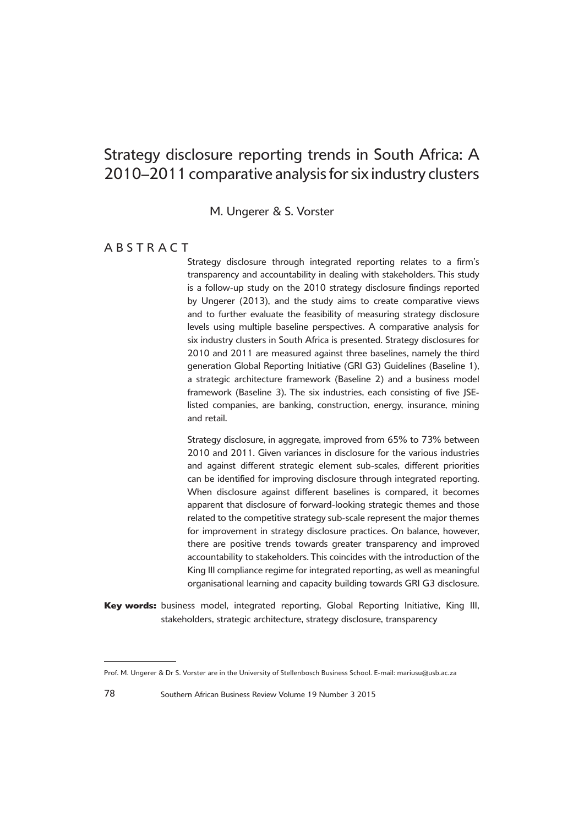# Strategy disclosure reporting trends in South Africa: A 2010–2011 comparative analysis for six industry clusters

M. Ungerer & S. Vorster

# **ABSTRACT**

Strategy disclosure through integrated reporting relates to a firm's transparency and accountability in dealing with stakeholders. This study is a follow-up study on the 2010 strategy disclosure findings reported by Ungerer (2013), and the study aims to create comparative views and to further evaluate the feasibility of measuring strategy disclosure levels using multiple baseline perspectives. A comparative analysis for six industry clusters in South Africa is presented. Strategy disclosures for 2010 and 2011 are measured against three baselines, namely the third generation Global Reporting Initiative (GRI G3) Guidelines (Baseline 1), a strategic architecture framework (Baseline 2) and a business model framework (Baseline 3). The six industries, each consisting of five JSElisted companies, are banking, construction, energy, insurance, mining and retail.

Strategy disclosure, in aggregate, improved from 65% to 73% between 2010 and 2011. Given variances in disclosure for the various industries and against different strategic element sub-scales, different priorities can be identified for improving disclosure through integrated reporting. When disclosure against different baselines is compared, it becomes apparent that disclosure of forward-looking strategic themes and those related to the competitive strategy sub-scale represent the major themes for improvement in strategy disclosure practices. On balance, however, there are positive trends towards greater transparency and improved accountability to stakeholders. This coincides with the introduction of the King III compliance regime for integrated reporting, as well as meaningful organisational learning and capacity building towards GRI G3 disclosure.

<sup>9</sup>**Key words:** business model, integrated reporting, Global Reporting Initiative, King III, stakeholders, strategic architecture, strategy disclosure, transparency

Prof. M. Ungerer & Dr S. Vorster are in the University of Stellenbosch Business School. E-mail: mariusu@usb.ac.za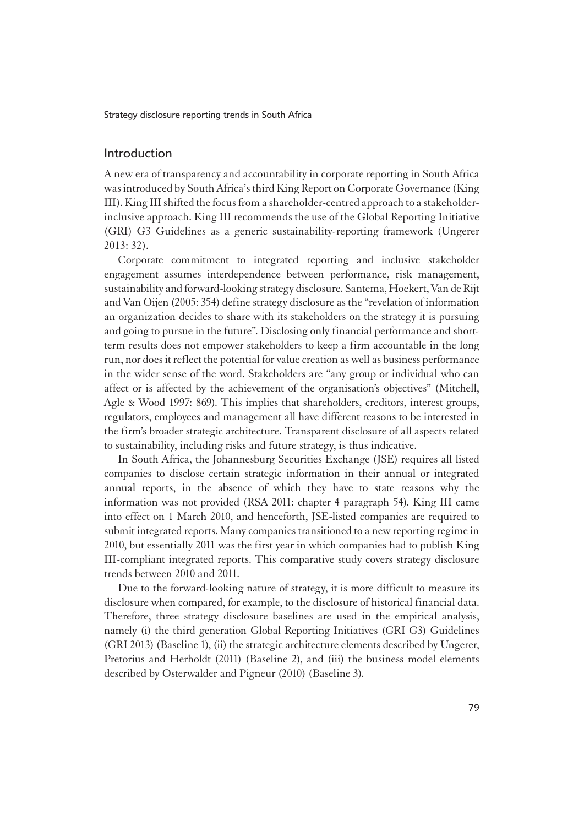### Introduction

1A new era of transparency and accountability in corporate reporting in South Africa was introduced by South Africa's third King Report on Corporate Governance (King III). King III shifted the focus from a shareholder-centred approach to a stakeholderinclusive approach. King III recommends the use of the Global Reporting Initiative (GRI) G3 Guidelines as a generic sustainability-reporting framework (Ungerer 2013: 32).

Corporate commitment to integrated reporting and inclusive stakeholder engagement assumes interdependence between performance, risk management, sustainability and forward-looking strategy disclosure. Santema, Hoekert, Van de Rijt and Van Oijen (2005: 354) define strategy disclosure as the "revelation of information an organization decides to share with its stakeholders on the strategy it is pursuing and going to pursue in the future". Disclosing only financial performance and shortterm results does not empower stakeholders to keep a firm accountable in the long run, nor does it reflect the potential for value creation as well as business performance in the wider sense of the word. Stakeholders are "any group or individual who can affect or is affected by the achievement of the organisation's objectives" (Mitchell, Agle & Wood 1997: 869). This implies that shareholders, creditors, interest groups, regulators, employees and management all have different reasons to be interested in the firm's broader strategic architecture. Transparent disclosure of all aspects related to sustainability, including risks and future strategy, is thus indicative.

In South Africa, the Johannesburg Securities Exchange (JSE) requires all listed companies to disclose certain strategic information in their annual or integrated annual reports, in the absence of which they have to state reasons why the information was not provided (RSA 2011: chapter 4 paragraph 54). King III came into effect on 1 March 2010, and henceforth, JSE-listed companies are required to submit integrated reports. Many companies transitioned to a new reporting regime in 2010, but essentially 2011 was the first year in which companies had to publish King III-compliant integrated reports. This comparative study covers strategy disclosure trends between 2010 and 2011.

Due to the forward-looking nature of strategy, it is more difficult to measure its disclosure when compared, for example, to the disclosure of historical financial data. Therefore, three strategy disclosure baselines are used in the empirical analysis, namely (i) the third generation Global Reporting Initiatives (GRI G3) Guidelines (GRI 2013) (Baseline 1), (ii) the strategic architecture elements described by Ungerer, Pretorius and Herholdt (2011) (Baseline 2), and (iii) the business model elements described by Osterwalder and Pigneur (2010) (Baseline 3).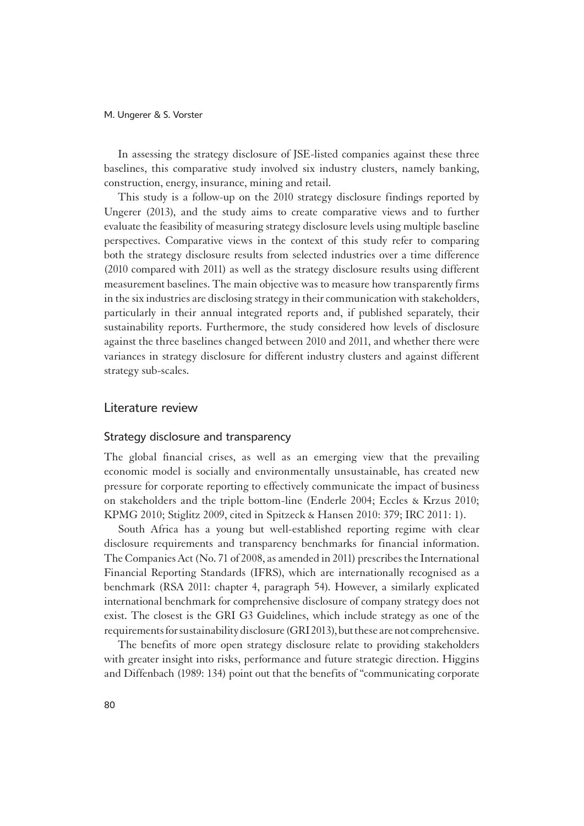In assessing the strategy disclosure of JSE-listed companies against these three baselines, this comparative study involved six industry clusters, namely banking, construction, energy, insurance, mining and retail.

This study is a follow-up on the 2010 strategy disclosure findings reported by Ungerer (2013), and the study aims to create comparative views and to further evaluate the feasibility of measuring strategy disclosure levels using multiple baseline perspectives. Comparative views in the context of this study refer to comparing both the strategy disclosure results from selected industries over a time difference (2010 compared with 2011) as well as the strategy disclosure results using different measurement baselines. The main objective was to measure how transparently firms in the six industries are disclosing strategy in their communication with stakeholders, particularly in their annual integrated reports and, if published separately, their sustainability reports. Furthermore, the study considered how levels of disclosure against the three baselines changed between 2010 and 2011, and whether there were variances in strategy disclosure for different industry clusters and against different strategy sub-scales.

### Literature review

### Strategy disclosure and transparency

1The global financial crises, as well as an emerging view that the prevailing economic model is socially and environmentally unsustainable, has created new pressure for corporate reporting to effectively communicate the impact of business on stakeholders and the triple bottom-line (Enderle 2004; Eccles & Krzus 2010; KPMG 2010; Stiglitz 2009, cited in Spitzeck & Hansen 2010: 379; IRC 2011: 1).

South Africa has a young but well-established reporting regime with clear disclosure requirements and transparency benchmarks for financial information. The Companies Act (No. 71 of 2008, as amended in 2011) prescribes the International Financial Reporting Standards (IFRS), which are internationally recognised as a benchmark (RSA 2011: chapter 4, paragraph 54). However, a similarly explicated international benchmark for comprehensive disclosure of company strategy does not exist. The closest is the GRI G3 Guidelines, which include strategy as one of the requirements for sustainability disclosure (GRI 2013), but these are not comprehensive.

The benefits of more open strategy disclosure relate to providing stakeholders with greater insight into risks, performance and future strategic direction. Higgins and Diffenbach (1989: 134) point out that the benefits of "communicating corporate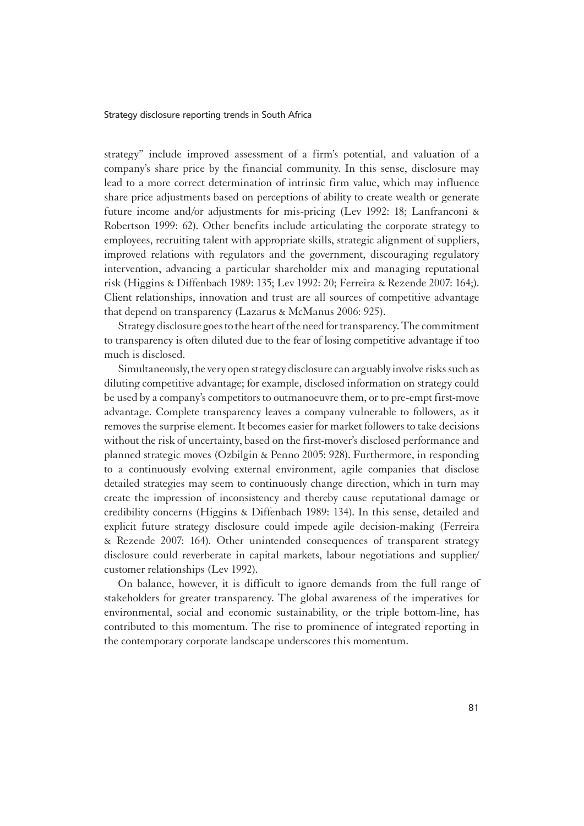strategy" include improved assessment of a firm's potential, and valuation of a company's share price by the financial community. In this sense, disclosure may lead to a more correct determination of intrinsic firm value, which may influence share price adjustments based on perceptions of ability to create wealth or generate future income and/or adjustments for mis-pricing (Lev 1992: 18; Lanfranconi & Robertson 1999: 62). Other benefits include articulating the corporate strategy to employees, recruiting talent with appropriate skills, strategic alignment of suppliers, improved relations with regulators and the government, discouraging regulatory intervention, advancing a particular shareholder mix and managing reputational risk (Higgins & Diffenbach 1989: 135; Lev 1992: 20; Ferreira & Rezende 2007: 164;). Client relationships, innovation and trust are all sources of competitive advantage that depend on transparency (Lazarus & McManus 2006: 925).

Strategy disclosure goes to the heart of the need for transparency. The commitment to transparency is often diluted due to the fear of losing competitive advantage if too much is disclosed.

Simultaneously, the very open strategy disclosure can arguably involve risks such as diluting competitive advantage; for example, disclosed information on strategy could be used by a company's competitors to outmanoeuvre them, or to pre-empt first-move advantage. Complete transparency leaves a company vulnerable to followers, as it removes the surprise element. It becomes easier for market followers to take decisions without the risk of uncertainty, based on the first-mover's disclosed performance and planned strategic moves (Ozbilgin & Penno 2005: 928). Furthermore, in responding to a continuously evolving external environment, agile companies that disclose detailed strategies may seem to continuously change direction, which in turn may create the impression of inconsistency and thereby cause reputational damage or credibility concerns (Higgins & Diffenbach 1989: 134). In this sense, detailed and explicit future strategy disclosure could impede agile decision-making (Ferreira & Rezende 2007: 164). Other unintended consequences of transparent strategy disclosure could reverberate in capital markets, labour negotiations and supplier/ customer relationships (Lev 1992).

On balance, however, it is difficult to ignore demands from the full range of stakeholders for greater transparency. The global awareness of the imperatives for environmental, social and economic sustainability, or the triple bottom-line, has contributed to this momentum. The rise to prominence of integrated reporting in the contemporary corporate landscape underscores this momentum.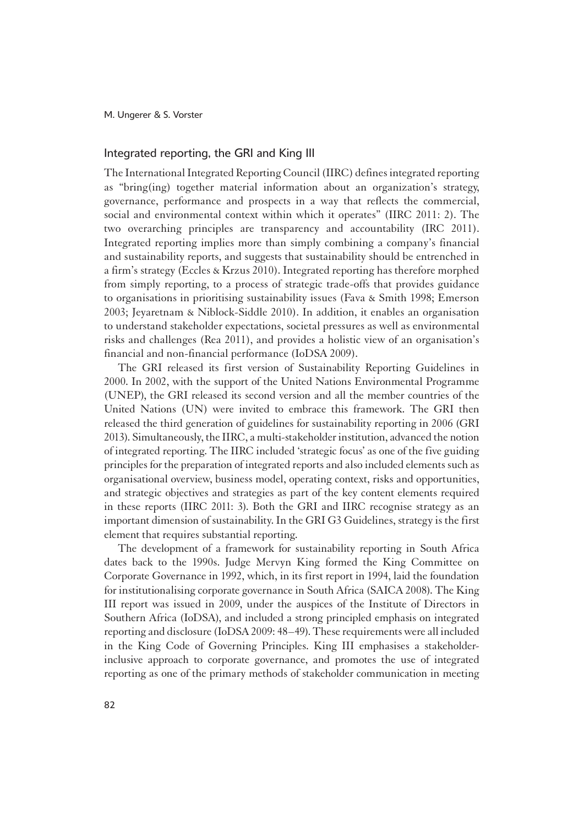### Integrated reporting, the GRI and King III

1The International Integrated Reporting Council (IIRC) defines integrated reporting as "bring(ing) together material information about an organization's strategy, governance, performance and prospects in a way that reflects the commercial, social and environmental context within which it operates" (IIRC 2011: 2). The two overarching principles are transparency and accountability (IRC 2011). Integrated reporting implies more than simply combining a company's financial and sustainability reports, and suggests that sustainability should be entrenched in a firm's strategy (Eccles & Krzus 2010). Integrated reporting has therefore morphed from simply reporting, to a process of strategic trade-offs that provides guidance to organisations in prioritising sustainability issues (Fava & Smith 1998; Emerson 2003; Jeyaretnam & Niblock-Siddle 2010). In addition, it enables an organisation to understand stakeholder expectations, societal pressures as well as environmental risks and challenges (Rea 2011), and provides a holistic view of an organisation's financial and non-financial performance (IoDSA 2009).

The GRI released its first version of Sustainability Reporting Guidelines in 2000. In 2002, with the support of the United Nations Environmental Programme (UNEP), the GRI released its second version and all the member countries of the United Nations (UN) were invited to embrace this framework. The GRI then released the third generation of guidelines for sustainability reporting in 2006 (GRI 2013). Simultaneously, the IIRC, a multi-stakeholder institution, advanced the notion of integrated reporting. The IIRC included 'strategic focus' as one of the five guiding principles for the preparation of integrated reports and also included elements such as organisational overview, business model, operating context, risks and opportunities, and strategic objectives and strategies as part of the key content elements required in these reports (IIRC 2011: 3). Both the GRI and IIRC recognise strategy as an important dimension of sustainability. In the GRI G3 Guidelines, strategy is the first element that requires substantial reporting.

The development of a framework for sustainability reporting in South Africa dates back to the 1990s. Judge Mervyn King formed the King Committee on Corporate Governance in 1992, which, in its first report in 1994, laid the foundation for institutionalising corporate governance in South Africa (SAICA 2008). The King III report was issued in 2009, under the auspices of the Institute of Directors in Southern Africa (IoDSA), and included a strong principled emphasis on integrated reporting and disclosure (IoDSA 2009: 48–49). These requirements were all included in the King Code of Governing Principles. King III emphasises a stakeholderinclusive approach to corporate governance, and promotes the use of integrated reporting as one of the primary methods of stakeholder communication in meeting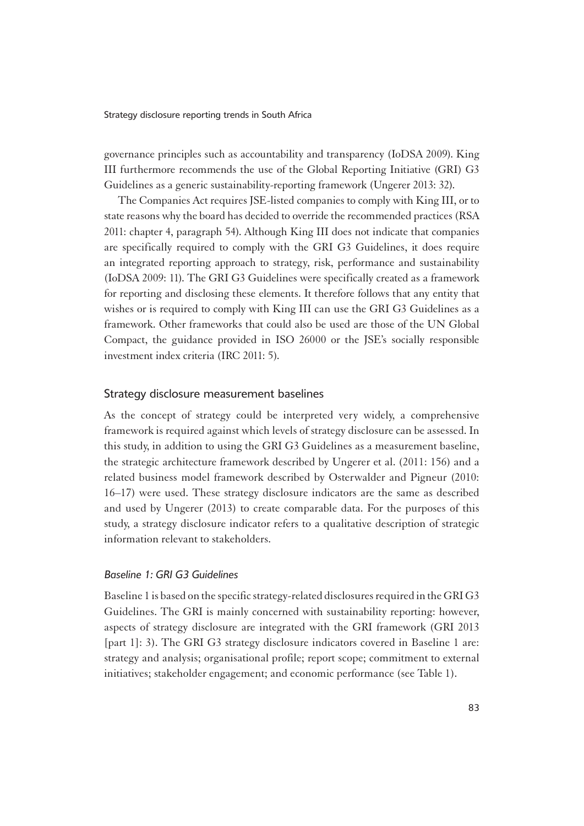governance principles such as accountability and transparency (IoDSA 2009). King III furthermore recommends the use of the Global Reporting Initiative (GRI) G3 Guidelines as a generic sustainability-reporting framework (Ungerer 2013: 32).

The Companies Act requires JSE-listed companies to comply with King III, or to state reasons why the board has decided to override the recommended practices (RSA 2011: chapter 4, paragraph 54). Although King III does not indicate that companies are specifically required to comply with the GRI G3 Guidelines, it does require an integrated reporting approach to strategy, risk, performance and sustainability (IoDSA 2009: 11). The GRI G3 Guidelines were specifically created as a framework for reporting and disclosing these elements. It therefore follows that any entity that wishes or is required to comply with King III can use the GRI G3 Guidelines as a framework. Other frameworks that could also be used are those of the UN Global Compact, the guidance provided in ISO 26000 or the JSE's socially responsible investment index criteria (IRC 2011: 5).

### Strategy disclosure measurement baselines

1As the concept of strategy could be interpreted very widely, a comprehensive framework is required against which levels of strategy disclosure can be assessed. In this study, in addition to using the GRI G3 Guidelines as a measurement baseline, the strategic architecture framework described by Ungerer et al. (2011: 156) and a related business model framework described by Osterwalder and Pigneur (2010: 16–17) were used. These strategy disclosure indicators are the same as described and used by Ungerer (2013) to create comparable data. For the purposes of this study, a strategy disclosure indicator refers to a qualitative description of strategic information relevant to stakeholders.

### *Baseline 1: GRI G3 Guidelines*

Baseline 1 is based on the specific strategy-related disclosures required in the GRI G3 Guidelines. The GRI is mainly concerned with sustainability reporting: however, aspects of strategy disclosure are integrated with the GRI framework (GRI 2013 [part 1]: 3). The GRI G3 strategy disclosure indicators covered in Baseline 1 are: strategy and analysis; organisational profile; report scope; commitment to external initiatives; stakeholder engagement; and economic performance (see Table 1).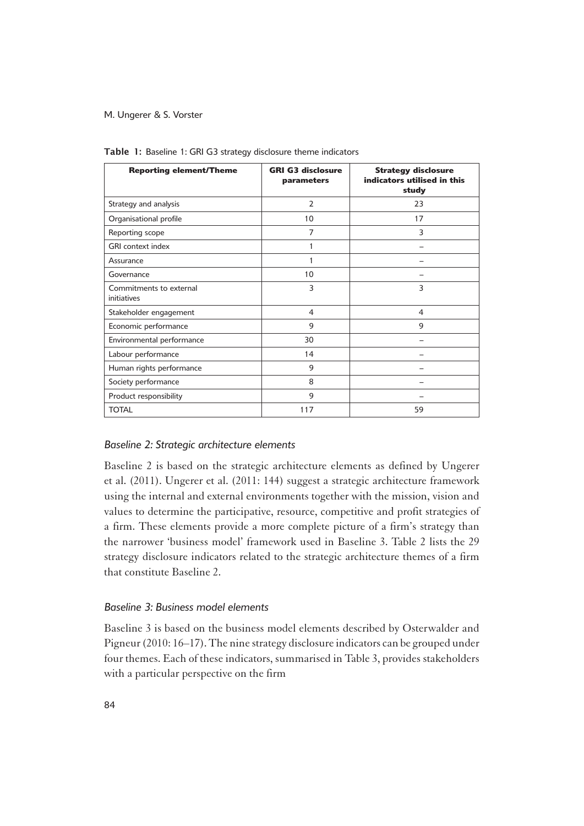| <b>Reporting element/Theme</b>         | <b>GRI G3 disclosure</b><br>parameters | <b>Strategy disclosure</b><br>indicators utilised in this<br>study |
|----------------------------------------|----------------------------------------|--------------------------------------------------------------------|
| Strategy and analysis                  | $\overline{2}$                         | 23                                                                 |
| Organisational profile                 | 10                                     | 17                                                                 |
| Reporting scope                        | 7                                      | 3                                                                  |
| <b>GRI</b> context index               | 1                                      |                                                                    |
| Assurance                              |                                        |                                                                    |
| Governance                             | 10                                     |                                                                    |
| Commitments to external<br>initiatives | 3                                      | 3                                                                  |
| Stakeholder engagement                 | 4                                      | $\overline{4}$                                                     |
| Economic performance                   | 9                                      | 9                                                                  |
| Environmental performance              | 30                                     |                                                                    |
| Labour performance                     | 14                                     |                                                                    |
| Human rights performance               | 9                                      |                                                                    |
| Society performance                    | 8                                      |                                                                    |
| Product responsibility                 | 9                                      |                                                                    |
| <b>TOTAL</b>                           | 117                                    | 59                                                                 |

Table 1: Baseline 1: GRI G3 strategy disclosure theme indicators

### *Baseline 2: Strategic architecture elements*

Baseline 2 is based on the strategic architecture elements as defined by Ungerer et al. (2011). Ungerer et al. (2011: 144) suggest a strategic architecture framework using the internal and external environments together with the mission, vision and values to determine the participative, resource, competitive and profit strategies of a firm. These elements provide a more complete picture of a firm's strategy than the narrower 'business model' framework used in Baseline 3. Table 2 lists the 29 strategy disclosure indicators related to the strategic architecture themes of a firm that constitute Baseline 2.

# *Baseline 3: Business model elements*

Baseline 3 is based on the business model elements described by Osterwalder and Pigneur (2010: 16–17). The nine strategy disclosure indicators can be grouped under four themes. Each of these indicators, summarised in Table 3, provides stakeholders with a particular perspective on the firm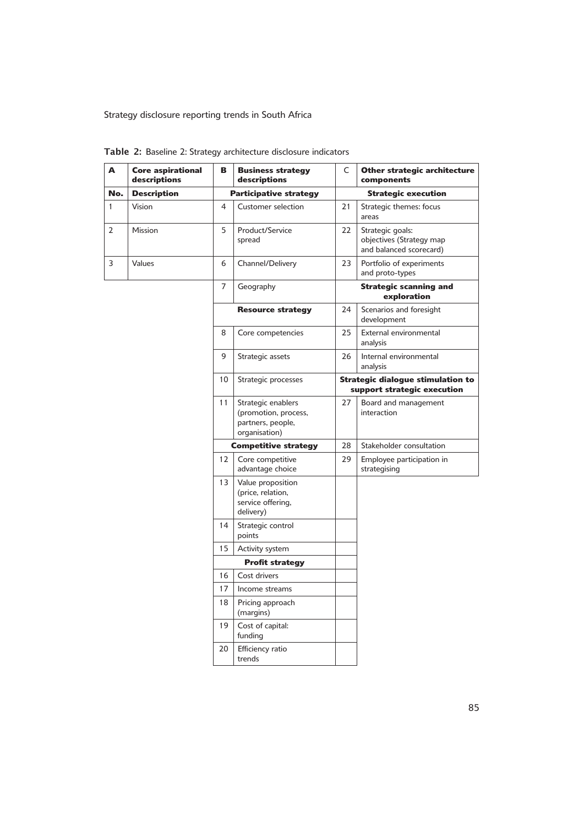| A            | <b>Core aspirational</b><br>descriptions | в  | <b>Business strategy</b><br>descriptions                                         | C  | Other strategic architecture<br>components                              |
|--------------|------------------------------------------|----|----------------------------------------------------------------------------------|----|-------------------------------------------------------------------------|
| No.          | <b>Description</b>                       |    | <b>Participative strategy</b>                                                    |    | <b>Strategic execution</b>                                              |
| $\mathbf{1}$ | Vision                                   | 4  | Customer selection                                                               | 21 | Strategic themes: focus<br>areas                                        |
| 2            | Mission                                  | 5  | Product/Service<br>spread                                                        | 22 | Strategic goals:<br>objectives (Strategy map<br>and balanced scorecard) |
| 3            | Values                                   | 6  | Channel/Delivery                                                                 | 23 | Portfolio of experiments<br>and proto-types                             |
|              |                                          | 7  | Geography                                                                        |    | <b>Strategic scanning and</b><br>exploration                            |
|              |                                          |    | <b>Resource strategy</b>                                                         | 24 | Scenarios and foresight<br>development                                  |
|              |                                          | 8  | Core competencies                                                                | 25 | External environmental<br>analysis                                      |
|              |                                          | 9  | Strategic assets                                                                 | 26 | Internal environmental<br>analysis                                      |
|              |                                          | 10 | Strategic processes                                                              |    | <b>Strategic dialogue stimulation to</b><br>support strategic execution |
|              |                                          | 11 | Strategic enablers<br>(promotion, process,<br>partners, people,<br>organisation) | 27 | Board and management<br>interaction                                     |
|              |                                          |    | <b>Competitive strategy</b>                                                      | 28 | Stakeholder consultation                                                |
|              |                                          | 12 | Core competitive<br>advantage choice                                             | 29 | Employee participation in<br>strategising                               |
|              |                                          | 13 | Value proposition<br>(price, relation,<br>service offering,<br>delivery)         |    |                                                                         |
|              |                                          | 14 | Strategic control<br>points                                                      |    |                                                                         |
|              |                                          | 15 | Activity system                                                                  |    |                                                                         |
|              |                                          |    | <b>Profit strategy</b>                                                           |    |                                                                         |
|              |                                          | 16 | Cost drivers                                                                     |    |                                                                         |
|              |                                          | 17 | Income streams                                                                   |    |                                                                         |
|              |                                          | 18 | Pricing approach<br>(margins)                                                    |    |                                                                         |
|              |                                          | 19 | Cost of capital:<br>funding                                                      |    |                                                                         |
|              |                                          | 20 | Efficiency ratio<br>trends                                                       |    |                                                                         |

Table 2: Baseline 2: Strategy architecture disclosure indicators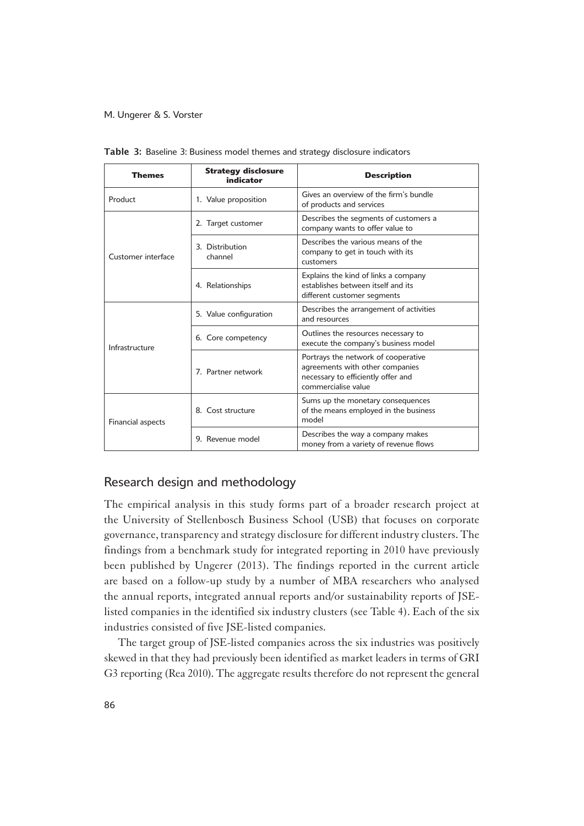| <b>Themes</b>      | <b>Strategy disclosure</b><br>indicator | <b>Description</b>                                                                                                                  |  |
|--------------------|-----------------------------------------|-------------------------------------------------------------------------------------------------------------------------------------|--|
| Product            | 1. Value proposition                    | Gives an overview of the firm's bundle<br>of products and services                                                                  |  |
|                    | 2. Target customer                      | Describes the segments of customers a<br>company wants to offer value to                                                            |  |
| Customer interface | 3. Distribution<br>channel              | Describes the various means of the<br>company to get in touch with its<br>customers                                                 |  |
|                    | 4. Relationships                        | Explains the kind of links a company<br>establishes between itself and its<br>different customer segments                           |  |
|                    | 5. Value configuration                  | Describes the arrangement of activities<br>and resources                                                                            |  |
| Infrastructure     | 6. Core competency                      | Outlines the resources necessary to<br>execute the company's business model                                                         |  |
|                    | 7. Partner network                      | Portrays the network of cooperative<br>agreements with other companies<br>necessary to efficiently offer and<br>commercialise value |  |
| Financial aspects  | 8. Cost structure                       | Sums up the monetary consequences<br>of the means employed in the business<br>model                                                 |  |
|                    | 9. Revenue model                        | Describes the way a company makes<br>money from a variety of revenue flows                                                          |  |

Table 3: Baseline 3: Business model themes and strategy disclosure indicators

# Research design and methodology

The empirical analysis in this study forms part of a broader research project at the University of Stellenbosch Business School (USB) that focuses on corporate governance, transparency and strategy disclosure for different industry clusters. The findings from a benchmark study for integrated reporting in 2010 have previously been published by Ungerer (2013). The findings reported in the current article are based on a follow-up study by a number of MBA researchers who analysed the annual reports, integrated annual reports and/or sustainability reports of JSElisted companies in the identified six industry clusters (see Table 4). Each of the six industries consisted of five JSE-listed companies.

The target group of JSE-listed companies across the six industries was positively skewed in that they had previously been identified as market leaders in terms of GRI G3 reporting (Rea 2010). The aggregate results therefore do not represent the general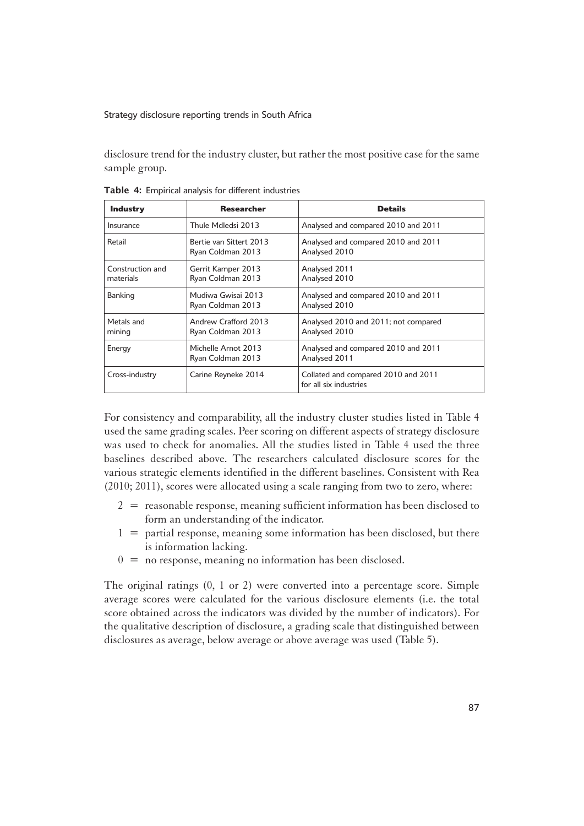disclosure trend for the industry cluster, but rather the most positive case for the same sample group.

| <b>Industry</b>               | <b>Researcher</b>                            | <b>Details</b>                                                |
|-------------------------------|----------------------------------------------|---------------------------------------------------------------|
| Insurance                     | Thule Mdledsi 2013                           | Analysed and compared 2010 and 2011                           |
| Retail                        | Bertie van Sittert 2013<br>Ryan Coldman 2013 | Analysed and compared 2010 and 2011<br>Analysed 2010          |
| Construction and<br>materials | Gerrit Kamper 2013<br>Ryan Coldman 2013      | Analysed 2011<br>Analysed 2010                                |
| Banking                       | Mudiwa Gwisai 2013<br>Ryan Coldman 2013      | Analysed and compared 2010 and 2011<br>Analysed 2010          |
| Metals and<br>mining          | Andrew Crafford 2013<br>Ryan Coldman 2013    | Analysed 2010 and 2011; not compared<br>Analysed 2010         |
| Energy                        | Michelle Arnot 2013<br>Ryan Coldman 2013     | Analysed and compared 2010 and 2011<br>Analysed 2011          |
| Cross-industry                | Carine Reyneke 2014                          | Collated and compared 2010 and 2011<br>for all six industries |

Table 4: Empirical analysis for different industries

1For consistency and comparability, all the industry cluster studies listed in Table 4 used the same grading scales. Peer scoring on different aspects of strategy disclosure was used to check for anomalies. All the studies listed in Table 4 used the three baselines described above. The researchers calculated disclosure scores for the various strategic elements identified in the different baselines. Consistent with Rea (2010; 2011), scores were allocated using a scale ranging from two to zero, where:

- $2 =$  reasonable response, meaning sufficient information has been disclosed to form an understanding of the indicator.
- $1 =$  partial response, meaning some information has been disclosed, but there is information lacking.
- $0 =$  no response, meaning no information has been disclosed.

The original ratings  $(0, 1 \text{ or } 2)$  were converted into a percentage score. Simple average scores were calculated for the various disclosure elements (i.e. the total score obtained across the indicators was divided by the number of indicators). For the qualitative description of disclosure, a grading scale that distinguished between disclosures as average, below average or above average was used (Table 5).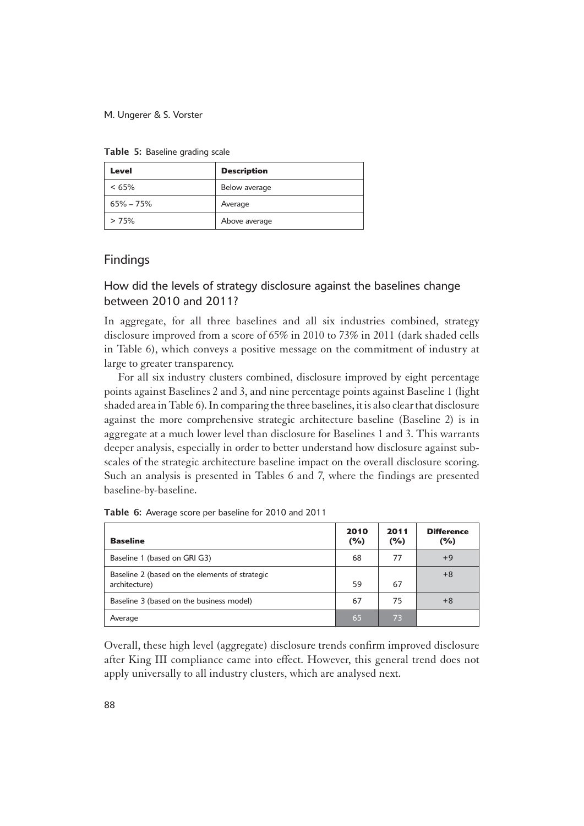| Level         | <b>Description</b> |
|---------------|--------------------|
| $< 65\%$      | Below average      |
| $65\% - 75\%$ | Average            |
| >75%          | Above average      |

Table 5: Baseline grading scale

### Findings

# How did the levels of strategy disclosure against the baselines change between 2010 and 2011?

1In aggregate, for all three baselines and all six industries combined, strategy disclosure improved from a score of 65% in 2010 to 73% in 2011 (dark shaded cells in Table 6), which conveys a positive message on the commitment of industry at large to greater transparency.

For all six industry clusters combined, disclosure improved by eight percentage points against Baselines 2 and 3, and nine percentage points against Baseline 1 (light shaded area in Table 6). In comparing the three baselines, it is also clear that disclosure against the more comprehensive strategic architecture baseline (Baseline 2) is in aggregate at a much lower level than disclosure for Baselines 1 and 3. This warrants deeper analysis, especially in order to better understand how disclosure against subscales of the strategic architecture baseline impact on the overall disclosure scoring. Such an analysis is presented in Tables 6 and 7, where the findings are presented baseline-by-baseline.

| <b>Baseline</b>                                                 | 2010<br>(%) | 2011<br>(%) | <b>Difference</b><br>(%) |
|-----------------------------------------------------------------|-------------|-------------|--------------------------|
| Baseline 1 (based on GRI G3)                                    | 68          | 77          | $+9$                     |
| Baseline 2 (based on the elements of strategic<br>architecture) | 59          | 67          | $+8$                     |
| Baseline 3 (based on the business model)                        | 67          | 75          | $+8$                     |
| Average                                                         | 65          | 73          |                          |

Table 6: Average score per baseline for 2010 and 2011

Overall, these high level (aggregate) disclosure trends confirm improved disclosure after King III compliance came into effect. However, this general trend does not apply universally to all industry clusters, which are analysed next.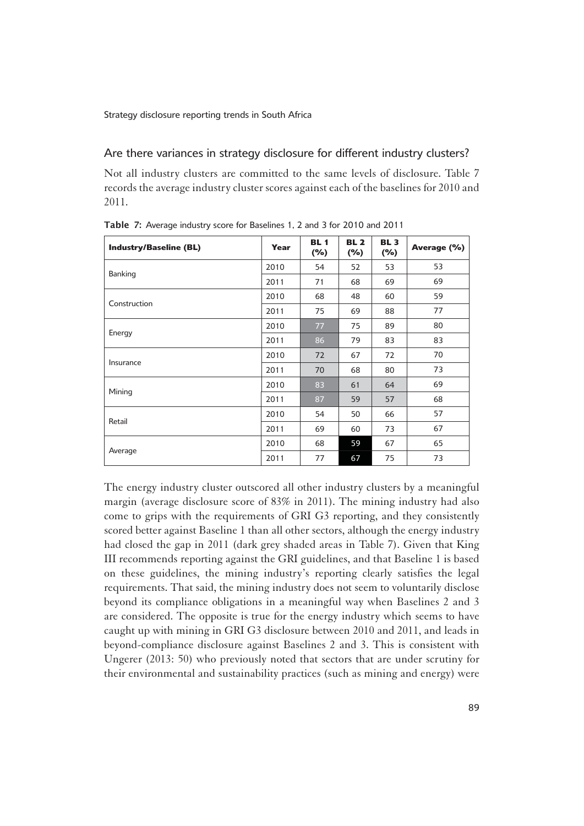### Are there variances in strategy disclosure for different industry clusters?

1Not all industry clusters are committed to the same levels of disclosure. Table 7 records the average industry cluster scores against each of the baselines for 2010 and 2011.

| <b>Industry/Baseline (BL)</b> | Year | <b>BL1</b><br>$(\%)$ | <b>BL 2</b><br>$(\%)$ | <b>BL3</b><br>$(\%)$ | Average (%) |
|-------------------------------|------|----------------------|-----------------------|----------------------|-------------|
|                               | 2010 | 54                   | 52                    | 53                   | 53          |
| Banking                       | 2011 | 71                   | 68                    | 69                   | 69          |
| Construction                  | 2010 | 68                   | 48                    | 60                   | 59          |
|                               | 2011 | 75                   | 69                    | 88                   | 77          |
|                               | 2010 | 77                   | 75                    | 89                   | 80          |
| Energy                        | 2011 | 86                   | 79                    | 83                   | 83          |
|                               | 2010 | 72                   | 67                    | 72                   | 70          |
| Insurance                     | 2011 | 70                   | 68                    | 80                   | 73          |
| Mining                        | 2010 | 83                   | 61                    | 64                   | 69          |
|                               | 2011 | 87                   | 59                    | 57                   | 68          |
| Retail                        | 2010 | 54                   | 50                    | 66                   | 57          |
|                               | 2011 | 69                   | 60                    | 73                   | 67          |
|                               | 2010 | 68                   | 59                    | 67                   | 65          |
| Average                       | 2011 | 77                   | 67                    | 75                   | 73          |

Table 7: Average industry score for Baselines 1, 2 and 3 for 2010 and 2011

The energy industry cluster outscored all other industry clusters by a meaningful margin (average disclosure score of 83% in 2011). The mining industry had also come to grips with the requirements of GRI G3 reporting, and they consistently scored better against Baseline 1 than all other sectors, although the energy industry had closed the gap in 2011 (dark grey shaded areas in Table 7). Given that King III recommends reporting against the GRI guidelines, and that Baseline 1 is based on these guidelines, the mining industry's reporting clearly satisfies the legal requirements. That said, the mining industry does not seem to voluntarily disclose beyond its compliance obligations in a meaningful way when Baselines 2 and 3 are considered. The opposite is true for the energy industry which seems to have caught up with mining in GRI G3 disclosure between 2010 and 2011, and leads in beyond-compliance disclosure against Baselines 2 and 3. This is consistent with Ungerer (2013: 50) who previously noted that sectors that are under scrutiny for their environmental and sustainability practices (such as mining and energy) were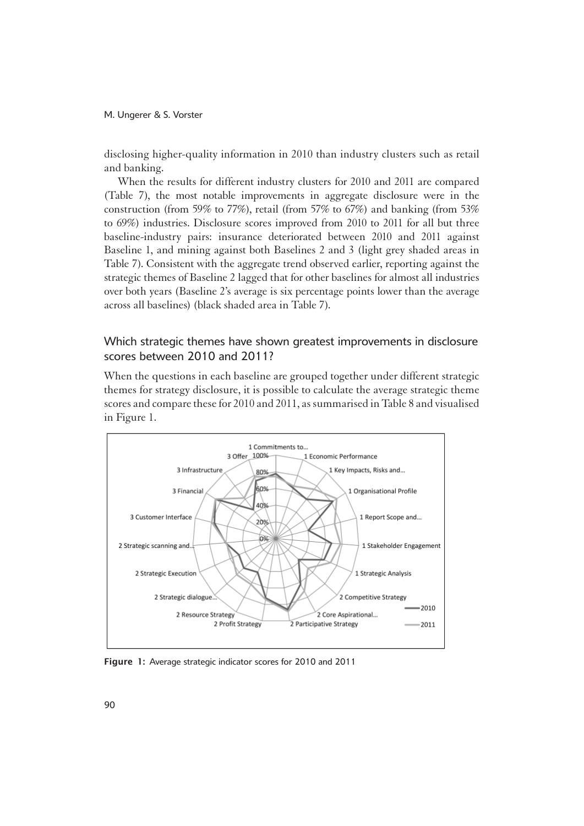disclosing higher-quality information in 2010 than industry clusters such as retail and banking.

When the results for different industry clusters for 2010 and 2011 are compared (Table 7), the most notable improvements in aggregate disclosure were in the construction (from 59% to 77%), retail (from 57% to 67%) and banking (from 53% to 69%) industries. Disclosure scores improved from 2010 to 2011 for all but three baseline-industry pairs: insurance deteriorated between 2010 and 2011 against Baseline 1, and mining against both Baselines 2 and 3 (light grey shaded areas in Table 7). Consistent with the aggregate trend observed earlier, reporting against the strategic themes of Baseline 2 lagged that for other baselines for almost all industries over both years (Baseline 2's average is six percentage points lower than the average across all baselines) (black shaded area in Table 7).

# Which strategic themes have shown greatest improvements in disclosure scores between 2010 and 2011?

When the questions in each baseline are grouped together under different strategic themes for strategy disclosure, it is possible to calculate the average strategic theme scores and compare these for 2010 and 2011, as summarised in Table 8 and visualised in Figure 1.



Figure 1: Average strategic indicator scores for 2010 and 2011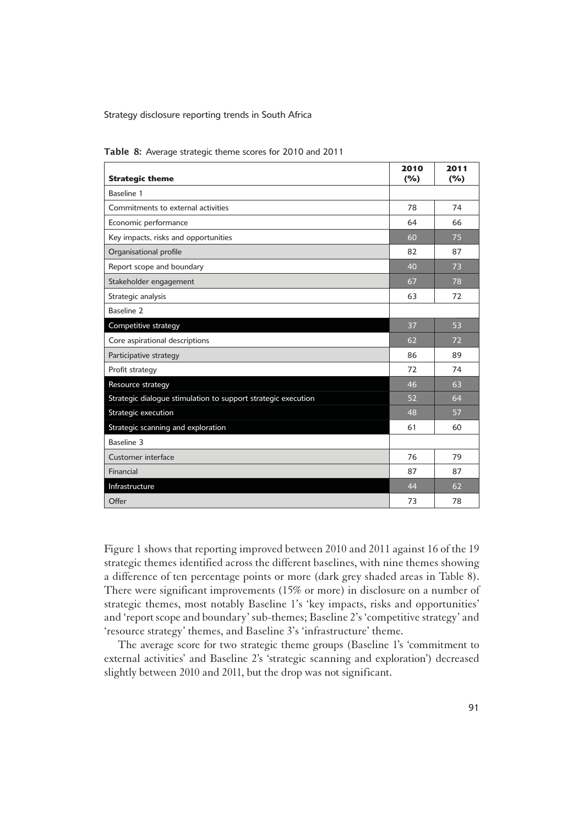| <b>Strategic theme</b>                                        | 2010<br>(%) | 2011<br>(%) |
|---------------------------------------------------------------|-------------|-------------|
| Baseline 1                                                    |             |             |
| Commitments to external activities                            | 78          | 74          |
| Economic performance                                          | 64          | 66          |
| Key impacts, risks and opportunities                          | 60          | 75          |
| Organisational profile                                        | 82          | 87          |
| Report scope and boundary                                     | 40          | 73          |
| Stakeholder engagement                                        | 67          | 78          |
| Strategic analysis                                            | 63          | 72          |
| Baseline <sub>2</sub>                                         |             |             |
| Competitive strategy                                          | 37          | 53          |
| Core aspirational descriptions                                | 62          | 72          |
| Participative strategy                                        | 86          | 89          |
| Profit strategy                                               | 72          | 74          |
| Resource strategy                                             | 46          | 63          |
| Strategic dialogue stimulation to support strategic execution | 52          | 64          |
| Strategic execution                                           | 48          | 57          |
| Strategic scanning and exploration                            | 61          | 60          |
| Baseline 3                                                    |             |             |
| Customer interface                                            | 76          | 79          |
| Financial                                                     | 87          | 87          |
| Infrastructure                                                | 44          | 62          |
| Offer                                                         | 73          | 78          |

Table 8: Average strategic theme scores for 2010 and 2011

1Figure 1 shows that reporting improved between 2010 and 2011 against 16 of the 19 strategic themes identified across the different baselines, with nine themes showing a difference of ten percentage points or more (dark grey shaded areas in Table 8). There were significant improvements (15% or more) in disclosure on a number of strategic themes, most notably Baseline 1's 'key impacts, risks and opportunities' and 'report scope and boundary' sub-themes; Baseline 2's 'competitive strategy' and 'resource strategy' themes, and Baseline 3's 'infrastructure' theme.

The average score for two strategic theme groups (Baseline 1's 'commitment to external activities' and Baseline 2's 'strategic scanning and exploration') decreased slightly between 2010 and 2011, but the drop was not significant.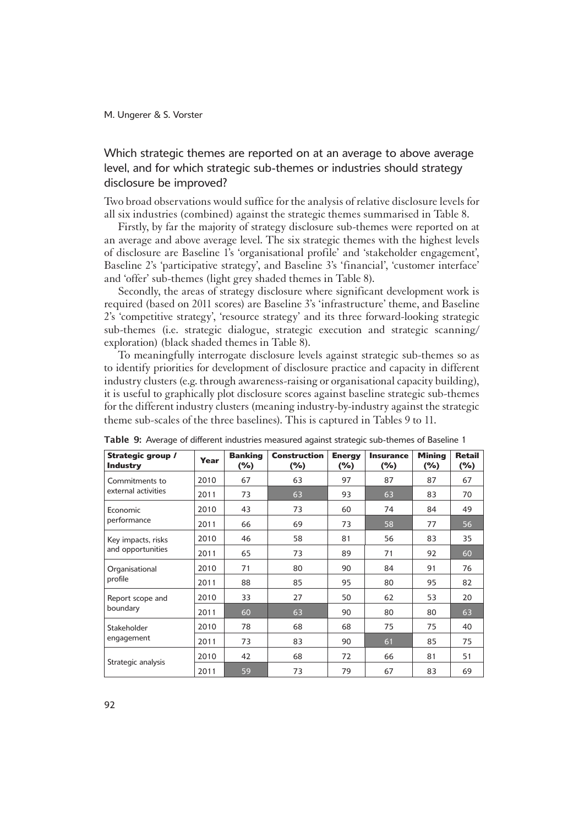# Which strategic themes are reported on at an average to above average level, and for which strategic sub-themes or industries should strategy disclosure be improved?

1Two broad observations would suffice for the analysis of relative disclosure levels for all six industries (combined) against the strategic themes summarised in Table 8.

Firstly, by far the majority of strategy disclosure sub-themes were reported on at an average and above average level. The six strategic themes with the highest levels of disclosure are Baseline 1's 'organisational profile' and 'stakeholder engagement', Baseline 2's 'participative strategy', and Baseline 3's 'financial', 'customer interface' and 'offer' sub-themes (light grey shaded themes in Table 8).

Secondly, the areas of strategy disclosure where significant development work is required (based on 2011 scores) are Baseline 3's 'infrastructure' theme, and Baseline 2's 'competitive strategy', 'resource strategy' and its three forward-looking strategic sub-themes (i.e. strategic dialogue, strategic execution and strategic scanning/ exploration) (black shaded themes in Table 8).

To meaningfully interrogate disclosure levels against strategic sub-themes so as to identify priorities for development of disclosure practice and capacity in different industry clusters (e.g. through awareness-raising or organisational capacity building), it is useful to graphically plot disclosure scores against baseline strategic sub-themes for the different industry clusters (meaning industry-by-industry against the strategic theme sub-scales of the three baselines). This is captured in Tables 9 to 11.

| Strategic group /<br><b>Industry</b> | Year | <b>Banking</b><br>$(\%)$ | <b>Construction</b><br>$(\%)$ | <b>Energy</b><br>(%) | <b>Insurance</b><br>$(\%)$ | <b>Mining</b><br>$(\%)$ | <b>Retail</b><br>$(\%)$ |
|--------------------------------------|------|--------------------------|-------------------------------|----------------------|----------------------------|-------------------------|-------------------------|
| Commitments to                       | 2010 | 67                       | 63                            | 97                   | 87                         | 87                      | 67                      |
| external activities                  | 2011 | 73                       | 63                            | 93                   | 63                         | 83                      | 70                      |
| Economic                             | 2010 | 43                       | 73                            | 60                   | 74                         | 84                      | 49                      |
| performance                          | 2011 | 66                       | 69                            | 73                   | 58                         | 77                      | 56                      |
| Key impacts, risks                   | 2010 | 46                       | 58                            | 81                   | 56                         | 83                      | 35                      |
| and opportunities                    | 2011 | 65                       | 73                            | 89                   | 71                         | 92                      | 60                      |
| Organisational<br>profile            | 2010 | 71                       | 80                            | 90                   | 84                         | 91                      | 76                      |
|                                      | 2011 | 88                       | 85                            | 95                   | 80                         | 95                      | 82                      |
| Report scope and                     | 2010 | 33                       | 27                            | 50                   | 62                         | 53                      | 20                      |
| boundary                             | 2011 | 60                       | 63                            | 90                   | 80                         | 80                      | 63                      |
| Stakeholder                          | 2010 | 78                       | 68                            | 68                   | 75                         | 75                      | 40                      |
| engagement                           | 2011 | 73                       | 83                            | 90                   | 61                         | 85                      | 75                      |
| Strategic analysis                   | 2010 | 42                       | 68                            | 72                   | 66                         | 81                      | 51                      |
|                                      | 2011 | 59                       | 73                            | 79                   | 67                         | 83                      | 69                      |

Table 9: Average of different industries measured against strategic sub-themes of Baseline 1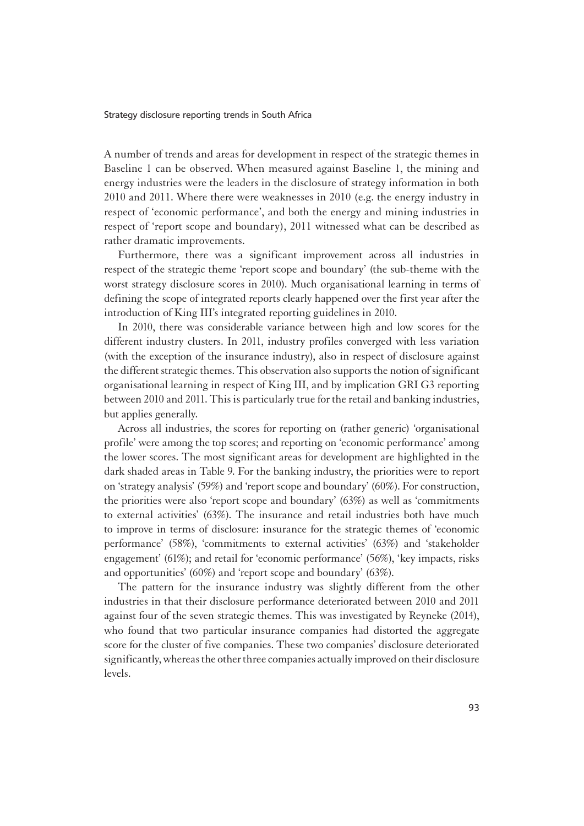1A number of trends and areas for development in respect of the strategic themes in Baseline 1 can be observed. When measured against Baseline 1, the mining and energy industries were the leaders in the disclosure of strategy information in both 2010 and 2011. Where there were weaknesses in 2010 (e.g. the energy industry in respect of 'economic performance', and both the energy and mining industries in respect of 'report scope and boundary), 2011 witnessed what can be described as rather dramatic improvements.

Furthermore, there was a significant improvement across all industries in respect of the strategic theme 'report scope and boundary' (the sub-theme with the worst strategy disclosure scores in 2010). Much organisational learning in terms of defining the scope of integrated reports clearly happened over the first year after the introduction of King III's integrated reporting guidelines in 2010.

In 2010, there was considerable variance between high and low scores for the different industry clusters. In 2011, industry profiles converged with less variation (with the exception of the insurance industry), also in respect of disclosure against the different strategic themes. This observation also supports the notion of significant organisational learning in respect of King III, and by implication GRI G3 reporting between 2010 and 2011. This is particularly true for the retail and banking industries, but applies generally.

Across all industries, the scores for reporting on (rather generic) 'organisational profile' were among the top scores; and reporting on 'economic performance' among the lower scores. The most significant areas for development are highlighted in the dark shaded areas in Table 9. For the banking industry, the priorities were to report on 'strategy analysis' (59%) and 'report scope and boundary' (60%). For construction, the priorities were also 'report scope and boundary'  $(63%)$  as well as 'commitments' to external activities' (63%). The insurance and retail industries both have much to improve in terms of disclosure: insurance for the strategic themes of 'economic performance' (58%), 'commitments to external activities' (63%) and 'stakeholder engagement' (61%); and retail for 'economic performance' (56%), 'key impacts, risks and opportunities' (60%) and 'report scope and boundary' (63%).

The pattern for the insurance industry was slightly different from the other industries in that their disclosure performance deteriorated between 2010 and 2011 against four of the seven strategic themes. This was investigated by Reyneke (2014), who found that two particular insurance companies had distorted the aggregate score for the cluster of five companies. These two companies' disclosure deteriorated significantly, whereas the other three companies actually improved on their disclosure levels.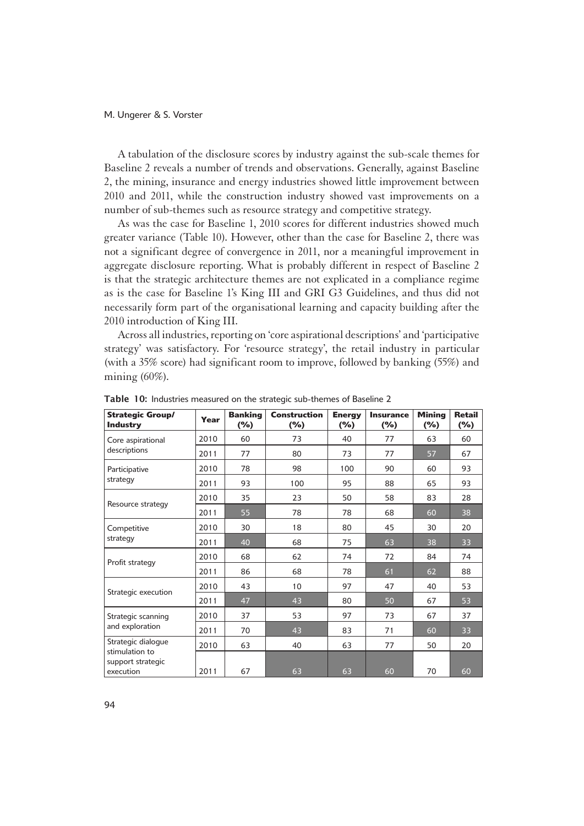A tabulation of the disclosure scores by industry against the sub-scale themes for Baseline 2 reveals a number of trends and observations. Generally, against Baseline 2, the mining, insurance and energy industries showed little improvement between 2010 and 2011, while the construction industry showed vast improvements on a number of sub-themes such as resource strategy and competitive strategy.

As was the case for Baseline 1, 2010 scores for different industries showed much greater variance (Table 10). However, other than the case for Baseline 2, there was not a significant degree of convergence in 2011, nor a meaningful improvement in aggregate disclosure reporting. What is probably different in respect of Baseline 2 is that the strategic architecture themes are not explicated in a compliance regime as is the case for Baseline 1's King III and GRI G3 Guidelines, and thus did not necessarily form part of the organisational learning and capacity building after the 2010 introduction of King III.

Across all industries, reporting on 'core aspirational descriptions' and 'participative strategy' was satisfactory. For 'resource strategy', the retail industry in particular (with a 35% score) had significant room to improve, followed by banking (55%) and mining  $(60\%).$ 

| <b>Strategic Group/</b><br><b>Industry</b>       | Year | <b>Banking</b><br>(%) | <b>Construction</b><br>$(\%)$ | <b>Energy</b><br>(%) | <b>Insurance</b><br>(%) | <b>Minina</b><br>(%) | <b>Retail</b><br>$(\%)$ |
|--------------------------------------------------|------|-----------------------|-------------------------------|----------------------|-------------------------|----------------------|-------------------------|
| Core aspirational                                | 2010 | 60                    | 73                            | 40                   | 77                      | 63                   | 60                      |
| descriptions                                     | 2011 | 77                    | 80                            | 73                   | 77                      | 57                   | 67                      |
| Participative                                    | 2010 | 78                    | 98                            | 100                  | 90                      | 60                   | 93                      |
| strategy                                         | 2011 | 93                    | 100                           | 95                   | 88                      | 65                   | 93                      |
|                                                  | 2010 | 35                    | 23                            | 50                   | 58                      | 83                   | 28                      |
| Resource strategy                                | 2011 | 55                    | 78                            | 78                   | 68                      | 60                   | 38                      |
| Competitive                                      | 2010 | 30                    | 18                            | 80                   | 45                      | 30                   | 20                      |
| strategy                                         | 2011 | 40                    | 68                            | 75                   | 63                      | 38                   | 33                      |
| Profit strategy                                  | 2010 | 68                    | 62                            | 74                   | 72                      | 84                   | 74                      |
|                                                  | 2011 | 86                    | 68                            | 78                   | 61                      | 62                   | 88                      |
|                                                  | 2010 | 43                    | 10                            | 97                   | 47                      | 40                   | 53                      |
| Strategic execution                              | 2011 | 47                    | 43                            | 80                   | 50                      | 67                   | 53                      |
| Strategic scanning                               | 2010 | 37                    | 53                            | 97                   | 73                      | 67                   | 37                      |
| and exploration                                  | 2011 | 70                    | 43                            | 83                   | 71                      | 60                   | 33                      |
| Strategic dialogue                               | 2010 | 63                    | 40                            | 63                   | 77                      | 50                   | 20                      |
| stimulation to<br>support strategic<br>execution | 2011 | 67                    | 63                            | 63                   | 60                      | 70                   | 60                      |

Table 10: Industries measured on the strategic sub-themes of Baseline 2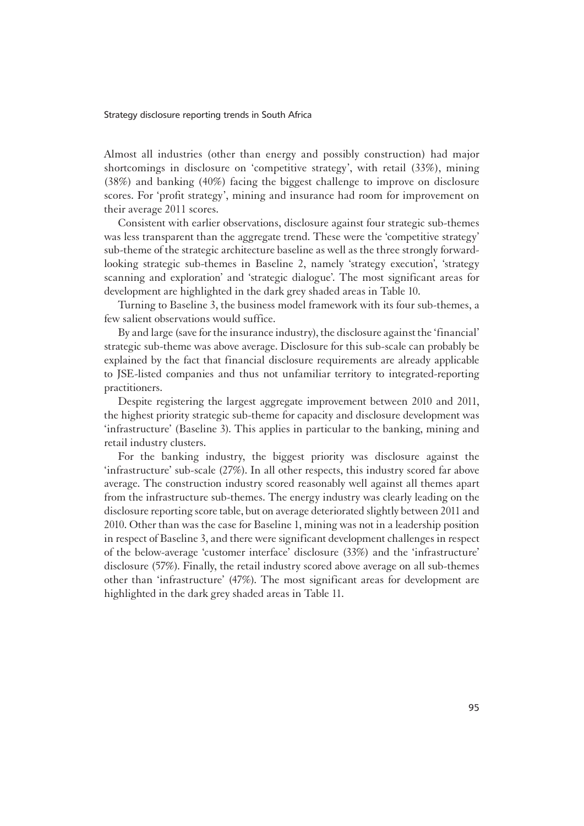1Almost all industries (other than energy and possibly construction) had major shortcomings in disclosure on 'competitive strategy', with retail (33%), mining (38%) and banking (40%) facing the biggest challenge to improve on disclosure scores. For 'profit strategy', mining and insurance had room for improvement on their average 2011 scores.

Consistent with earlier observations, disclosure against four strategic sub-themes was less transparent than the aggregate trend. These were the 'competitive strategy' sub-theme of the strategic architecture baseline as well as the three strongly forwardlooking strategic sub-themes in Baseline 2, namely 'strategy execution', 'strategy scanning and exploration' and 'strategic dialogue'. The most significant areas for development are highlighted in the dark grey shaded areas in Table 10.

Turning to Baseline 3, the business model framework with its four sub-themes, a few salient observations would suffice.

By and large (save for the insurance industry), the disclosure against the 'financial' strategic sub-theme was above average. Disclosure for this sub-scale can probably be explained by the fact that financial disclosure requirements are already applicable to JSE-listed companies and thus not unfamiliar territory to integrated-reporting practitioners.

Despite registering the largest aggregate improvement between 2010 and 2011, the highest priority strategic sub-theme for capacity and disclosure development was 'infrastructure' (Baseline 3). This applies in particular to the banking, mining and retail industry clusters.

For the banking industry, the biggest priority was disclosure against the 'infrastructure' sub-scale (27%). In all other respects, this industry scored far above average. The construction industry scored reasonably well against all themes apart from the infrastructure sub-themes. The energy industry was clearly leading on the disclosure reporting score table, but on average deteriorated slightly between 2011 and 2010. Other than was the case for Baseline 1, mining was not in a leadership position in respect of Baseline 3, and there were significant development challenges in respect of the below-average 'customer interface' disclosure (33%) and the 'infrastructure' disclosure (57%). Finally, the retail industry scored above average on all sub-themes other than 'infrastructure' (47%). The most significant areas for development are highlighted in the dark grey shaded areas in Table 11.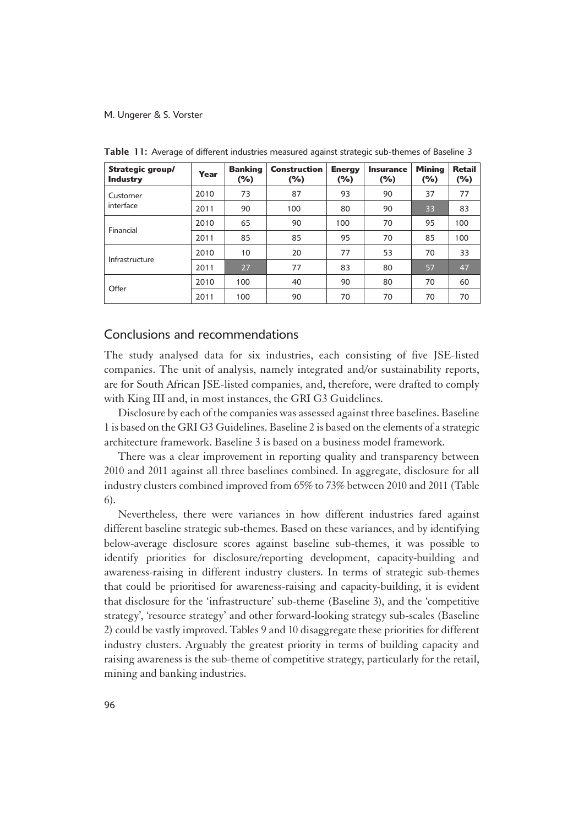| Strategic group/<br><b>Industry</b> | Year | <b>Banking</b><br>(%) | <b>Construction</b><br>(%) | <b>Energy</b><br>$(\%)$ | <b>Insurance</b><br>(%) | <b>Mining</b><br>(%) | <b>Retail</b><br>$(\%)$ |
|-------------------------------------|------|-----------------------|----------------------------|-------------------------|-------------------------|----------------------|-------------------------|
| Customer                            | 2010 | 73                    | 87                         | 93                      | 90                      | 37                   | 77                      |
| interface                           | 2011 | 90                    | 100                        | 80                      | 90                      | 33                   | 83                      |
|                                     | 2010 | 65                    | 90                         | 100                     | 70                      | 95                   | 100                     |
| Financial                           | 2011 | 85                    | 85                         | 95                      | 70                      | 85                   | 100                     |
| Infrastructure                      | 2010 | 10                    | 20                         | 77                      | 53                      | 70                   | 33                      |
|                                     | 2011 | 27                    | 77                         | 83                      | 80                      | 57                   | 47                      |
|                                     | 2010 | 100                   | 40                         | 90                      | 80                      | 70                   | 60                      |
| Offer                               | 2011 | 100                   | 90                         | 70                      | 70                      | 70                   | 70                      |

Table 11: Average of different industries measured against strategic sub-themes of Baseline 3

### Conclusions and recommendations

1The study analysed data for six industries, each consisting of five JSE-listed companies. The unit of analysis, namely integrated and/or sustainability reports, are for South African JSE-listed companies, and, therefore, were drafted to comply with King III and, in most instances, the GRI G3 Guidelines.

Disclosure by each of the companies was assessed against three baselines. Baseline 1 is based on the GRI G3 Guidelines. Baseline 2 is based on the elements of a strategic architecture framework. Baseline 3 is based on a business model framework.

There was a clear improvement in reporting quality and transparency between 2010 and 2011 against all three baselines combined. In aggregate, disclosure for all industry clusters combined improved from 65% to 73% between 2010 and 2011 (Table 6).

Nevertheless, there were variances in how different industries fared against different baseline strategic sub-themes. Based on these variances, and by identifying below-average disclosure scores against baseline sub-themes, it was possible to identify priorities for disclosure/reporting development, capacity-building and awareness-raising in different industry clusters. In terms of strategic sub-themes that could be prioritised for awareness-raising and capacity-building, it is evident that disclosure for the 'infrastructure' sub-theme (Baseline 3), and the 'competitive strategy', 'resource strategy' and other forward-looking strategy sub-scales (Baseline 2) could be vastly improved. Tables 9 and 10 disaggregate these priorities for different industry clusters. Arguably the greatest priority in terms of building capacity and raising awareness is the sub-theme of competitive strategy, particularly for the retail, mining and banking industries.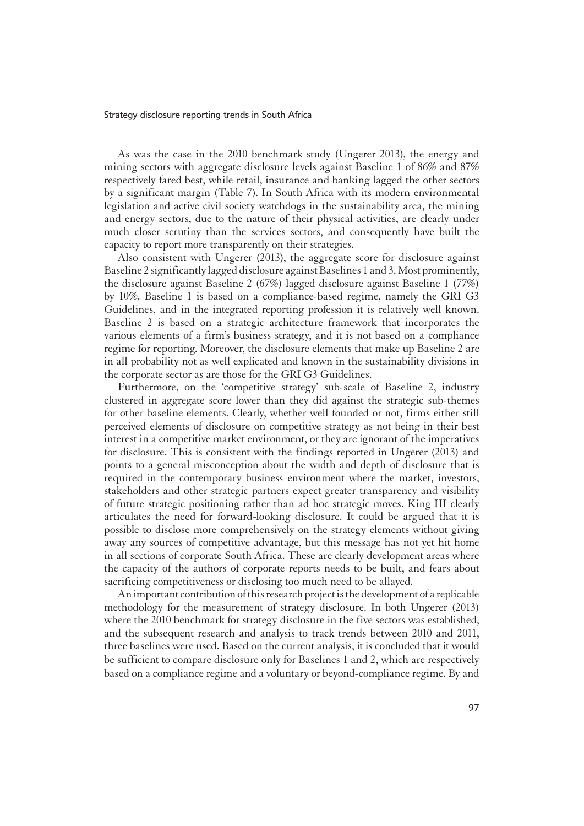As was the case in the 2010 benchmark study (Ungerer 2013), the energy and mining sectors with aggregate disclosure levels against Baseline 1 of 86% and 87% respectively fared best, while retail, insurance and banking lagged the other sectors by a significant margin (Table 7). In South Africa with its modern environmental legislation and active civil society watchdogs in the sustainability area, the mining and energy sectors, due to the nature of their physical activities, are clearly under much closer scrutiny than the services sectors, and consequently have built the capacity to report more transparently on their strategies.

Also consistent with Ungerer (2013), the aggregate score for disclosure against Baseline 2 significantly lagged disclosure against Baselines 1 and 3. Most prominently, the disclosure against Baseline 2 (67%) lagged disclosure against Baseline 1 (77%) by 10%. Baseline 1 is based on a compliance-based regime, namely the GRI G3 Guidelines, and in the integrated reporting profession it is relatively well known. Baseline 2 is based on a strategic architecture framework that incorporates the various elements of a firm's business strategy, and it is not based on a compliance regime for reporting. Moreover, the disclosure elements that make up Baseline 2 are in all probability not as well explicated and known in the sustainability divisions in the corporate sector as are those for the GRI G3 Guidelines.

Furthermore, on the 'competitive strategy' sub-scale of Baseline 2, industry clustered in aggregate score lower than they did against the strategic sub-themes for other baseline elements. Clearly, whether well founded or not, firms either still perceived elements of disclosure on competitive strategy as not being in their best interest in a competitive market environment, or they are ignorant of the imperatives for disclosure. This is consistent with the findings reported in Ungerer (2013) and points to a general misconception about the width and depth of disclosure that is required in the contemporary business environment where the market, investors, stakeholders and other strategic partners expect greater transparency and visibility of future strategic positioning rather than ad hoc strategic moves. King III clearly articulates the need for forward-looking disclosure. It could be argued that it is possible to disclose more comprehensively on the strategy elements without giving away any sources of competitive advantage, but this message has not yet hit home in all sections of corporate South Africa. These are clearly development areas where the capacity of the authors of corporate reports needs to be built, and fears about sacrificing competitiveness or disclosing too much need to be allayed.

An important contribution of this research project is the development of a replicable methodology for the measurement of strategy disclosure. In both Ungerer (2013) where the 2010 benchmark for strategy disclosure in the five sectors was established, and the subsequent research and analysis to track trends between 2010 and 2011, three baselines were used. Based on the current analysis, it is concluded that it would be sufficient to compare disclosure only for Baselines 1 and 2, which are respectively based on a compliance regime and a voluntary or beyond-compliance regime. By and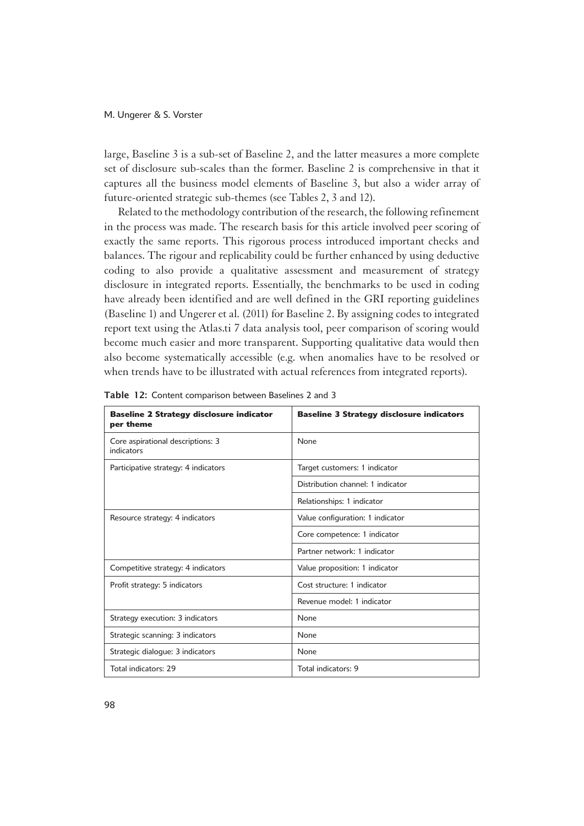large, Baseline 3 is a sub-set of Baseline 2, and the latter measures a more complete set of disclosure sub-scales than the former. Baseline 2 is comprehensive in that it captures all the business model elements of Baseline 3, but also a wider array of future-oriented strategic sub-themes (see Tables 2, 3 and 12).

Related to the methodology contribution of the research, the following refinement in the process was made. The research basis for this article involved peer scoring of exactly the same reports. This rigorous process introduced important checks and balances. The rigour and replicability could be further enhanced by using deductive coding to also provide a qualitative assessment and measurement of strategy disclosure in integrated reports. Essentially, the benchmarks to be used in coding have already been identified and are well defined in the GRI reporting guidelines (Baseline 1) and Ungerer et al. (2011) for Baseline 2. By assigning codes to integrated report text using the Atlas.ti 7 data analysis tool, peer comparison of scoring would become much easier and more transparent. Supporting qualitative data would then also become systematically accessible (e.g. when anomalies have to be resolved or when trends have to be illustrated with actual references from integrated reports).

| <b>Baseline 2 Strategy disclosure indicator</b><br>per theme | <b>Baseline 3 Strategy disclosure indicators</b> |
|--------------------------------------------------------------|--------------------------------------------------|
| Core aspirational descriptions: 3<br>indicators              | None                                             |
| Participative strategy: 4 indicators                         | Target customers: 1 indicator                    |
|                                                              | Distribution channel: 1 indicator                |
|                                                              | Relationships: 1 indicator                       |
| Resource strategy: 4 indicators                              | Value configuration: 1 indicator                 |
|                                                              | Core competence: 1 indicator                     |
|                                                              | Partner network: 1 indicator                     |
| Competitive strategy: 4 indicators                           | Value proposition: 1 indicator                   |
| Profit strategy: 5 indicators                                | Cost structure: 1 indicator                      |
|                                                              | Revenue model: 1 indicator                       |
| Strategy execution: 3 indicators                             | None                                             |
| Strategic scanning: 3 indicators                             | None                                             |
| Strategic dialogue: 3 indicators                             | None                                             |
| Total indicators: 29                                         | Total indicators: 9                              |

Table 12: Content comparison between Baselines 2 and 3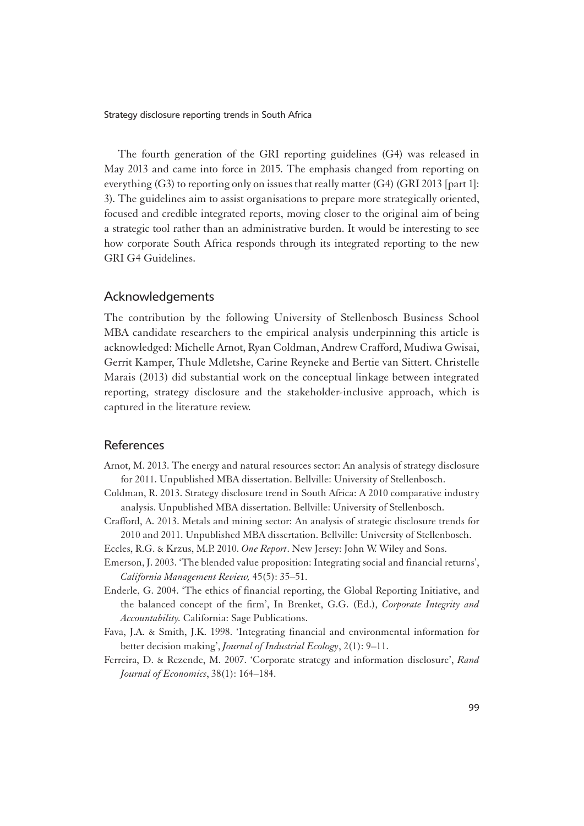The fourth generation of the GRI reporting guidelines (G4) was released in May 2013 and came into force in 2015. The emphasis changed from reporting on everything (G3) to reporting only on issues that really matter (G4) (GRI 2013 [part 1]: 3). The guidelines aim to assist organisations to prepare more strategically oriented, focused and credible integrated reports, moving closer to the original aim of being a strategic tool rather than an administrative burden. It would be interesting to see how corporate South Africa responds through its integrated reporting to the new GRI G4 Guidelines.

# Acknowledgements

The contribution by the following University of Stellenbosch Business School MBA candidate researchers to the empirical analysis underpinning this article is acknowledged: Michelle Arnot, Ryan Coldman, Andrew Crafford, Mudiwa Gwisai, Gerrit Kamper, Thule Mdletshe, Carine Reyneke and Bertie van Sittert. Christelle Marais (2013) did substantial work on the conceptual linkage between integrated reporting, strategy disclosure and the stakeholder-inclusive approach, which is captured in the literature review.

### References

- Arnot, M. 2013. The energy and natural resources sector: An analysis of strategy disclosure for 2011. Unpublished MBA dissertation. Bellville: University of Stellenbosch.
- Coldman, R. 2013. Strategy disclosure trend in South Africa: A 2010 comparative industry analysis. Unpublished MBA dissertation. Bellville: University of Stellenbosch.
- Crafford, A. 2013. Metals and mining sector: An analysis of strategic disclosure trends for 2010 and 2011. Unpublished MBA dissertation. Bellville: University of Stellenbosch.
- Eccles, R.G. & Krzus, M.P. 2010. *One Report*. New Jersey: John W. Wiley and Sons.
- Emerson, J. 2003. 'The blended value proposition: Integrating social and financial returns', *California Management Review,* 45(5): 35–51.
- Enderle, G. 2004. 'The ethics of financial reporting, the Global Reporting Initiative, and the balanced concept of the firm', In Brenket, G.G. (Ed.), *Corporate Integrity and Accountability.* California: Sage Publications.
- Fava, J.A. & Smith, J.K. 1998. 'Integrating financial and environmental information for better decision making', *Journal of Industrial Ecology*, 2(1): 9–11.
- Ferreira, D. & Rezende, M. 2007. 'Corporate strategy and information disclosure', *Rand Journal of Economics*, 38(1): 164–184.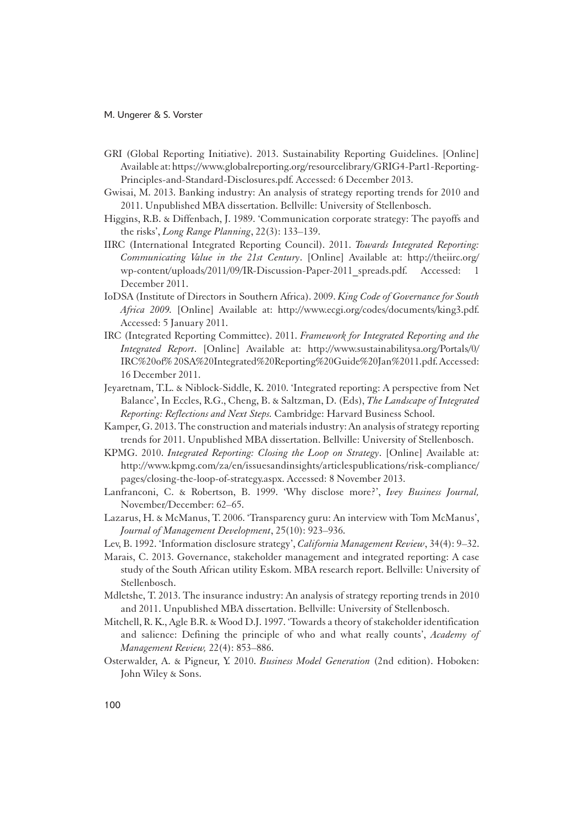- GRI (Global Reporting Initiative). 2013. Sustainability Reporting Guidelines. [Online] Available at: https://www.globalreporting.org/resourcelibrary/GRIG4-Part1-Reporting-Principles-and-Standard-Disclosures.pdf. Accessed: 6 December 2013.
- Gwisai, M. 2013. Banking industry: An analysis of strategy reporting trends for 2010 and 2011. Unpublished MBA dissertation. Bellville: University of Stellenbosch.
- Higgins, R.B. & Diffenbach, J. 1989. 'Communication corporate strategy: The payoffs and the risks', *Long Range Planning*, 22(3): 133–139.
- IIRC (International Integrated Reporting Council). 2011. *Towards Integrated Reporting: Communicating Value in the 21st Century*. [Online] Available at: http://theiirc.org/ wp-content/uploads/2011/09/IR-Discussion-Paper-2011 spreads.pdf. Accessed: 1 December 2011.
- IoDSA (Institute of Directors in Southern Africa). 2009. *King Code of Governance for South Africa 2009.* [Online] Available at: http://www.ecgi.org/codes/documents/king3.pdf. Accessed: 5 January 2011.
- IRC (Integrated Reporting Committee). 2011. *Framework for Integrated Reporting and the Integrated Report*. [Online] Available at: http://www.sustainabilitysa.org/Portals/0/ IRC%20of% 20SA%20Integrated%20Reporting%20Guide%20Jan%2011.pdf. Accessed: 16 December 2011.
- Jeyaretnam, T.L. & Niblock-Siddle, K. 2010. 'Integrated reporting: A perspective from Net Balance', In Eccles, R.G., Cheng, B. & Saltzman, D. (Eds), *The Landscape of Integrated Reporting: Reflections and Next Steps.* Cambridge: Harvard Business School.
- Kamper, G. 2013. The construction and materials industry: An analysis of strategy reporting trends for 2011. Unpublished MBA dissertation. Bellville: University of Stellenbosch.
- KPMG. 2010. *Integrated Reporting: Closing the Loop on Strategy*. [Online] Available at: http://www.kpmg.com/za/en/issuesandinsights/articlespublications/risk-compliance/ pages/closing-the-loop-of-strategy.aspx. Accessed: 8 November 2013.
- Lanfranconi, C. & Robertson, B. 1999. 'Why disclose more?', *Ivey Business Journal,*  November/December: 62–65.
- Lazarus, H. & McManus, T. 2006. 'Transparency guru: An interview with Tom McManus', *Journal of Management Development*, 25(10): 923–936.
- Lev, B. 1992. 'Information disclosure strategy', *California Management Review*, 34(4): 9–32.
- Marais, C. 2013. Governance, stakeholder management and integrated reporting: A case study of the South African utility Eskom. MBA research report. Bellville: University of Stellenbosch.
- Mdletshe, T. 2013. The insurance industry: An analysis of strategy reporting trends in 2010 and 2011. Unpublished MBA dissertation. Bellville: University of Stellenbosch.
- Mitchell, R. K., Agle B.R. & Wood D.J. 1997. 'Towards a theory of stakeholder identification and salience: Defining the principle of who and what really counts', *Academy of Management Review,* 22(4): 853–886.
- Osterwalder, A. & Pigneur, Y. 2010. *Business Model Generation* (2nd edition). Hoboken: John Wiley & Sons.